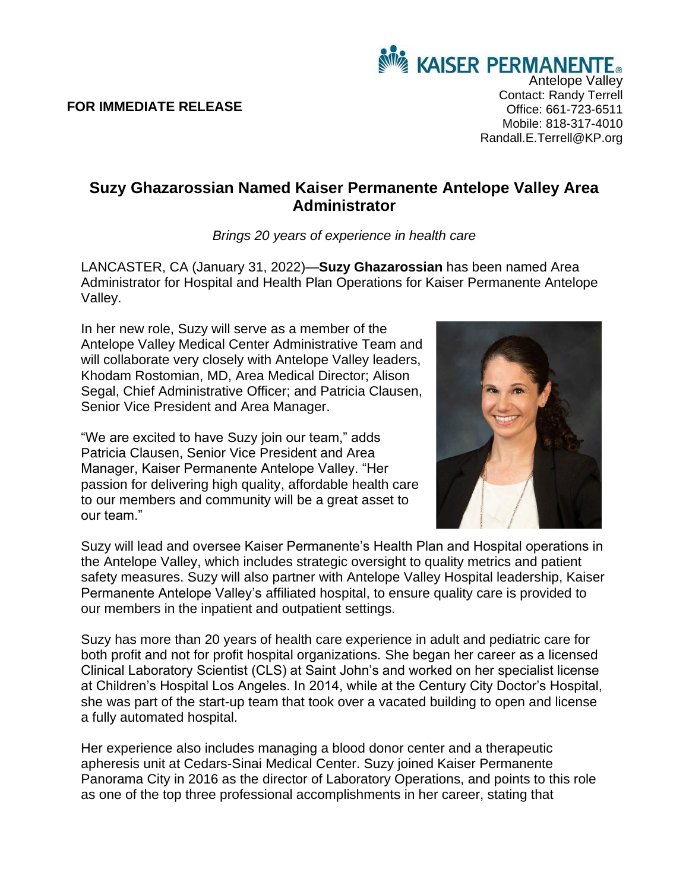**FOR IMMEDIATE RELEASE**

## **Suzy Ghazarossian Named Kaiser Permanente Antelope Valley Area Administrator**

*Brings 20 years of experience in health care*

LANCASTER, CA (January 31, 2022)—**Suzy Ghazarossian** has been named Area Administrator for Hospital and Health Plan Operations for Kaiser Permanente Antelope Valley.

In her new role, Suzy will serve as a member of the Antelope Valley Medical Center Administrative Team and will collaborate very closely with Antelope Valley leaders, Khodam Rostomian, MD, Area Medical Director; Alison Segal, Chief Administrative Officer: and Patricia Clausen, Senior Vice President and Area Manager.

"We are excited to have Suzy join our team," adds Patricia Clausen, Senior Vice President and Area Manager, Kaiser Permanente Antelope Valley. "Her passion for delivering high quality, affordable health care to our members and community will be a great asset to our team."

Suzy will lead and oversee Kaiser Permanente's Health Plan and Hospital operations in the Antelope Valley, which includes strategic oversight to quality metrics and patient safety measures. Suzy will also partner with Antelope Valley Hospital leadership, Kaiser Permanente Antelope Valley's affiliated hospital, to ensure quality care is provided to our members in the inpatient and outpatient settings.

Suzy has more than 20 years of health care experience in adult and pediatric care for both profit and not for profit hospital organizations. She began her career as a licensed Clinical Laboratory Scientist (CLS) at Saint John's and worked on her specialist license at Children's Hospital Los Angeles. In 2014, while at the Century City Doctor's Hospital, she was part of the start-up team that took over a vacated building to open and license a fully automated hospital.

Her experience also includes managing a blood donor center and a therapeutic apheresis unit at Cedars-Sinai Medical Center. Suzy joined Kaiser Permanente Panorama City in 2016 as the director of Laboratory Operations, and points to this role as one of the top three professional accomplishments in her career, stating that



Antelope Valley Contact: Randy Terrell Office: 661-723-6511 Mobile: 818-317-4010 Randall.E.Terrell@KP.org